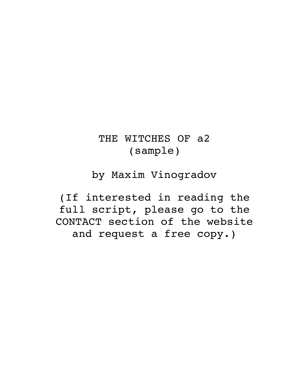# THE WITCHES OF a2 (sample)

# by Maxim Vinogradov

(If interested in reading the full script, please go to the CONTACT section of the website and request a free copy.)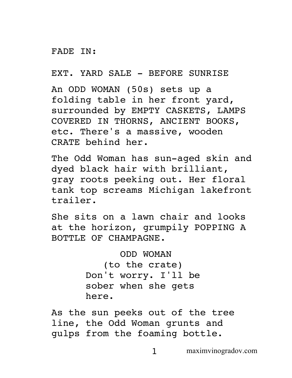#### FADE IN:

EXT. YARD SALE - BEFORE SUNRISE

An ODD WOMAN (50s) sets up a folding table in her front yard, surrounded by EMPTY CASKETS, LAMPS COVERED IN THORNS, ANCIENT BOOKS, etc. There's a massive, wooden CRATE behind her.

The Odd Woman has sun-aged skin and dyed black hair with brilliant, gray roots peeking out. Her floral tank top screams Michigan lakefront trailer.

She sits on a lawn chair and looks at the horizon, grumpily POPPING A BOTTLE OF CHAMPAGNE.

> ODD WOMAN (to the crate) Don't worry. I'll be sober when she gets here.

As the sun peeks out of the tree line, the Odd Woman grunts and gulps from the foaming bottle.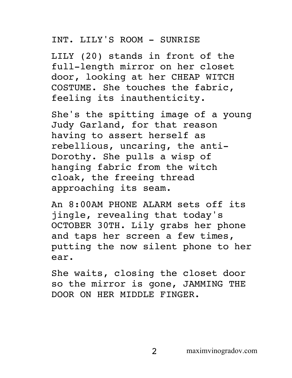# INT. LILY'S ROOM - SUNRISE

LILY (20) stands in front of the full-length mirror on her closet door, looking at her CHEAP WITCH COSTUME. She touches the fabric, feeling its inauthenticity.

She's the spitting image of a young Judy Garland, for that reason having to assert herself as rebellious, uncaring, the anti-Dorothy. She pulls a wisp of hanging fabric from the witch cloak, the freeing thread approaching its seam.

An 8:00AM PHONE ALARM sets off its jingle, revealing that today's OCTOBER 30TH. Lily grabs her phone and taps her screen a few times, putting the now silent phone to her ear.

She waits, closing the closet door so the mirror is gone, JAMMING THE DOOR ON HER MIDDLE FINGER.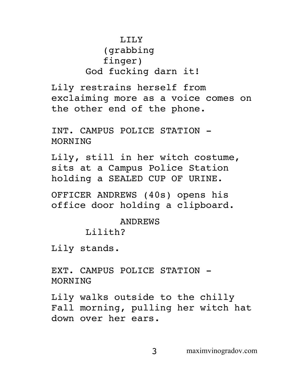# LILY (grabbing finger) God fucking darn it!

Lily restrains herself from exclaiming more as a voice comes on the other end of the phone.

INT. CAMPUS POLICE STATION - MORNING

Lily, still in her witch costume, sits at a Campus Police Station holding a SEALED CUP OF URINE.

OFFICER ANDREWS (40s) opens his office door holding a clipboard.

ANDREWS

Lilith?

Lily stands.

EXT. CAMPUS POLICE STATION - MORNING

Lily walks outside to the chilly Fall morning, pulling her witch hat down over her ears.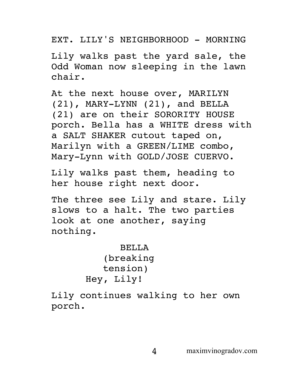EXT. LILY'S NEIGHBORHOOD - MORNING

Lily walks past the yard sale, the Odd Woman now sleeping in the lawn chair.

At the next house over, MARILYN (21), MARY-LYNN (21), and BELLA (21) are on their SORORITY HOUSE porch. Bella has a WHITE dress with a SALT SHAKER cutout taped on, Marilyn with a GREEN/LIME combo, Mary-Lynn with GOLD/JOSE CUERVO.

Lily walks past them, heading to her house right next door.

The three see Lily and stare. Lily slows to a halt. The two parties look at one another, saying nothing.

```
BELLA
   (breaking 
   tension)
Hey, Lily!
```
Lily continues walking to her own porch.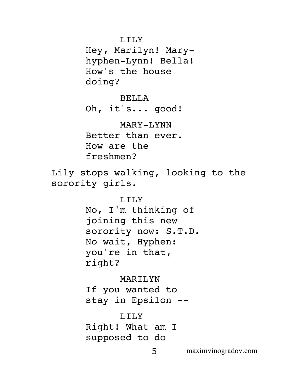Hey, Marilyn! Maryhyphen-Lynn! Bella! How's the house doing?

# BELLA

Oh, it's... good!

# MARY-LYNN

Better than ever. How are the freshmen?

Lily stops walking, looking to the sorority girls.

# LILY

No, I'm thinking of joining this new sorority now: S.T.D. No wait, Hyphen: you're in that, right?

# MARILYN

If you wanted to stay in Epsilon --

# LILY

Right! What am I supposed to do

5 maximvinogradov.com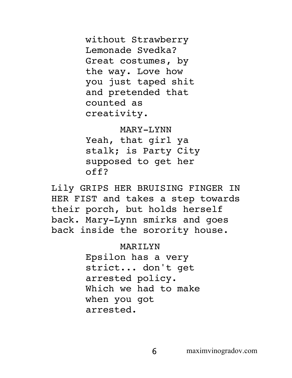without Strawberry Lemonade Svedka? Great costumes, by the way. Love how you just taped shit and pretended that counted as creativity.

#### MARY-LYNN

Yeah, that girl ya stalk; is Party City supposed to get her off?

Lily GRIPS HER BRUISING FINGER IN HER FIST and takes a step towards their porch, but holds herself back. Mary-Lynn smirks and goes back inside the sorority house.

#### MARILYN

Epsilon has a very strict... don't get arrested policy. Which we had to make when you got arrested.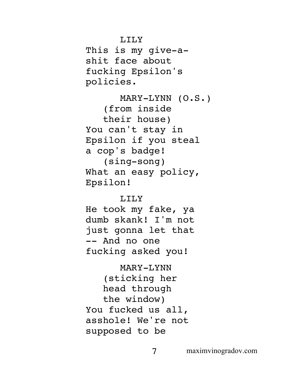This is my give-ashit face about fucking Epsilon's policies.

MARY-LYNN (O.S.) (from inside their house) You can't stay in Epsilon if you steal a cop's badge! (sing-song) What an easy policy, Epsilon!

### LTLY

He took my fake, ya dumb skank! I'm not just gonna let that -- And no one fucking asked you!

MARY-LYNN (sticking her head through the window) You fucked us all, asshole! We're not supposed to be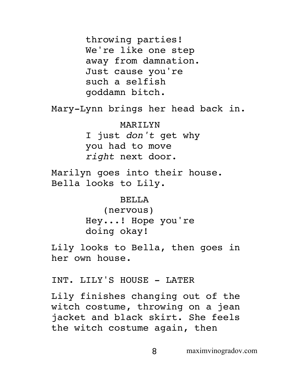throwing parties! We're like one step away from damnation. Just cause you're such a selfish goddamn bitch.

Mary-Lynn brings her head back in.

MARILYN I just *don't* get why you had to move *right* next door.

Marilyn goes into their house. Bella looks to Lily.

# BELLA

(nervous) Hey...! Hope you're doing okay!

Lily looks to Bella, then goes in her own house.

# INT. LILY'S HOUSE - LATER

Lily finishes changing out of the witch costume, throwing on a jean jacket and black skirt. She feels the witch costume again, then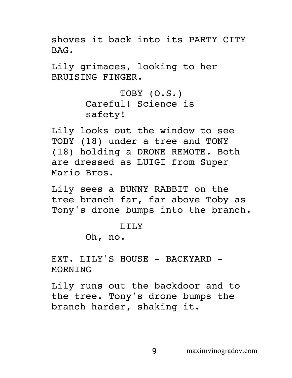shoves it back into its PARTY CITY BAG.

Lily grimaces, looking to her BRUISING FINGER.

> TOBY (O.S.) Careful! Science is safety!

Lily looks out the window to see TOBY (18) under a tree and TONY (18) holding a DRONE REMOTE. Both are dressed as LUIGI from Super Mario Bros.

Lily sees a BUNNY RABBIT on the tree branch far, far above Toby as Tony's drone bumps into the branch.

# T.TT.Y

Oh, no.

EXT. LILY'S HOUSE - BACKYARD -MORNING

Lily runs out the backdoor and to the tree. Tony's drone bumps the branch harder, shaking it.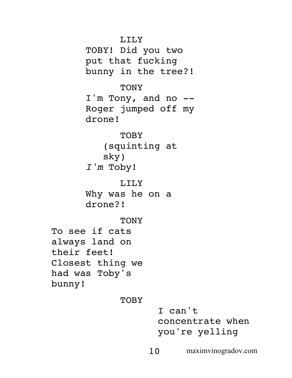TOBY! Did you two put that fucking bunny in the tree?!

# **TONY**

I'm Tony, and no -- Roger jumped off my drone!

# TOBY (squinting at sky)

*I'm* Toby!

# LILY

Why was he on a drone?!

# **TONY**

To see if cats always land on their feet! Closest thing we had was Toby's bunny!

# **TOBY**

I can't concentrate when you're yelling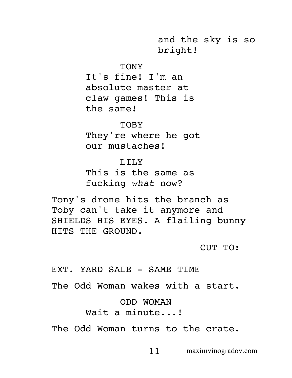and the sky is so bright!

#### TONY

It's fine! I'm an absolute master at claw games! This is the same!

**TOBY** They're where he got our mustaches!

#### LILY

This is the same as fucking *what* now?

Tony's drone hits the branch as Toby can't take it anymore and SHIELDS HIS EYES. A flailing bunny HITS THE GROUND.

CUT TO:

EXT. YARD SALE - SAME TIME The Odd Woman wakes with a start. ODD WOMAN Wait a minute...! The Odd Woman turns to the crate.

11 maximvinogradov.com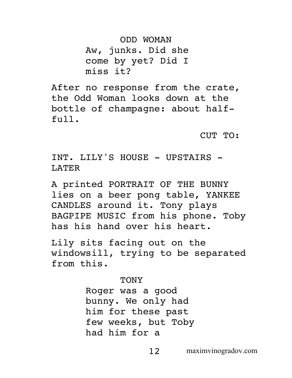ODD WOMAN Aw, junks. Did she come by yet? Did I miss it?

After no response from the crate, the Odd Woman looks down at the bottle of champagne: about halffull.

CUT TO:

INT. LILY'S HOUSE - UPSTAIRS -LATER

A printed PORTRAIT OF THE BUNNY lies on a beer pong table, YANKEE CANDLES around it. Tony plays BAGPIPE MUSIC from his phone. Toby has his hand over his heart.

Lily sits facing out on the windowsill, trying to be separated from this.

**TONY** 

Roger was a good bunny. We only had him for these past few weeks, but Toby had him for a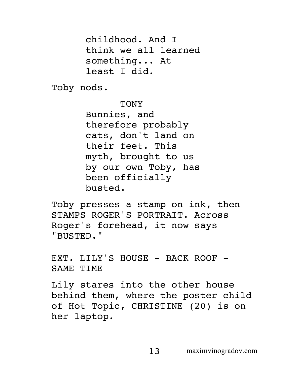childhood. And I think we all learned something... At least I did.

Toby nods.

TONY

Bunnies, and therefore probably cats, don't land on their feet. This myth, brought to us by our own Toby, has been officially busted.

Toby presses a stamp on ink, then STAMPS ROGER'S PORTRAIT. Across Roger's forehead, it now says "BUSTED."

EXT. LILY'S HOUSE - BACK ROOF -SAME TIME

Lily stares into the other house behind them, where the poster child of Hot Topic, CHRISTINE (20) is on her laptop.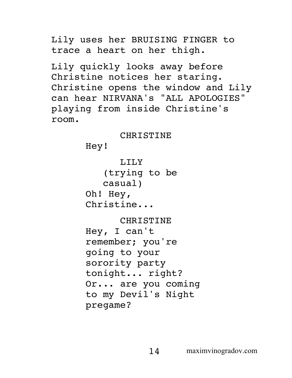Lily uses her BRUISING FINGER to trace a heart on her thigh.

Lily quickly looks away before Christine notices her staring. Christine opens the window and Lily can hear NIRVANA's "ALL APOLOGIES" playing from inside Christine's room.

#### CHRISTINE

Hey!

LILY (trying to be casual) Oh! Hey, Christine...

# CHRISTINE

Hey, I can't remember; you're going to your sorority party tonight... right? Or... are you coming to my Devil's Night pregame?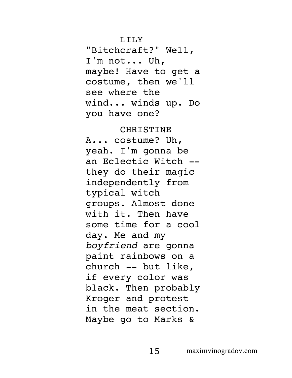"Bitchcraft?" Well, I'm not... Uh, maybe! Have to get a costume, then we'll see where the wind... winds up. Do you have one?

#### CHRISTINE

A... costume? Uh, yeah. I'm gonna be an Eclectic Witch - they do their magic independently from typical witch groups. Almost done with it. Then have some time for a cool day. Me and my *boyfriend* are gonna paint rainbows on a church -- but like, if every color was black. Then probably Kroger and protest in the meat section. Maybe go to Marks &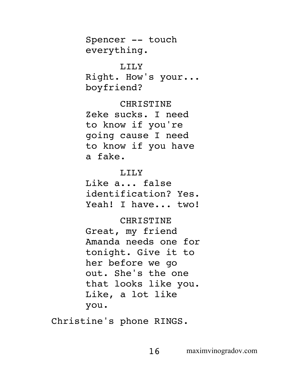Spencer -- touch everything.

LILY Right. How's your... boyfriend?

CHRISTINE Zeke sucks. I need to know if you're going cause I need to know if you have a fake.

#### LILY

Like a... false identification? Yes. Yeah! I have... two!

#### CHRISTINE

Great, my friend Amanda needs one for tonight. Give it to her before we go out. She's the one that looks like you. Like, a lot like you.

Christine's phone RINGS.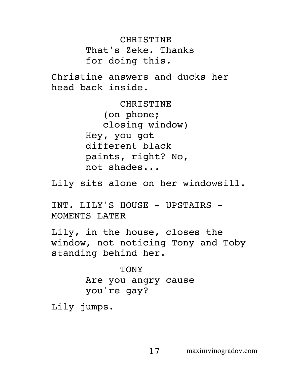**CHRISTINE** That's Zeke. Thanks for doing this.

Christine answers and ducks her head back inside.

> CHRISTINE (on phone; closing window) Hey, you got different black paints, right? No, not shades...

Lily sits alone on her windowsill.

INT. LILY'S HOUSE - UPSTAIRS -MOMENTS LATER

Lily, in the house, closes the window, not noticing Tony and Toby standing behind her.

> TONY Are you angry cause you're gay?

Lily jumps.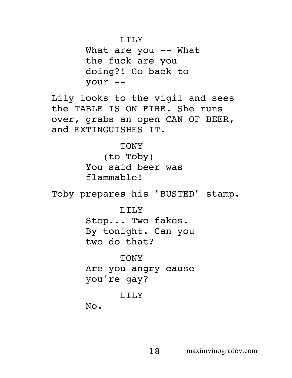What are you -- What the fuck are you doing?! Go back to your --

Lily looks to the vigil and sees the TABLE IS ON FIRE. She runs over, grabs an open CAN OF BEER, and EXTINGUISHES IT.

> TONY (to Toby) You said beer was flammable!

Toby prepares his "BUSTED" stamp.

LILY Stop... Two fakes. By tonight. Can you

two do that?

TONY Are you angry cause you're gay?

# LILY

No.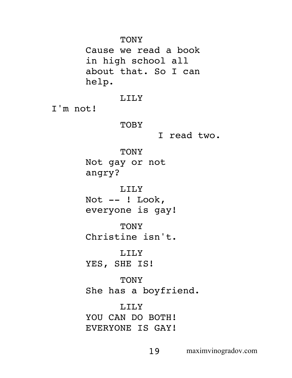TONY

Cause we read a book in high school all about that. So I can help.

LILY

I'm not!

**TOBY** 

I read two.

TONY

Not gay or not angry?

LILY

Not  $--$  ! Look, everyone is gay!

**TONY** Christine isn't.

LILY

YES, SHE IS!

**TONY** 

She has a boyfriend.

LILY YOU CAN DO BOTH! EVERYONE IS GAY!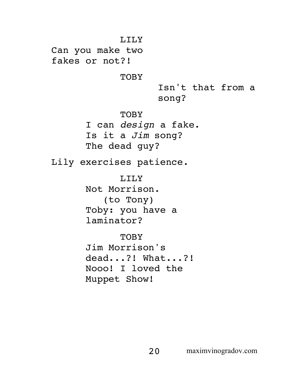LILY Can you make two fakes or not?! **TOBY** Isn't that from a song? **TOBY** I can *design* a fake. Is it a *Jim* song? The dead guy? Lily exercises patience. LILY Not Morrison. (to Tony) Toby: you have a laminator? **TOBY** Jim Morrison's dead...?! What...?! Nooo! I loved the Muppet Show!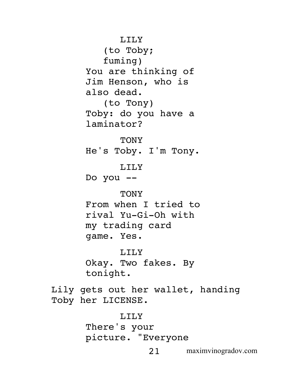21 maximvinogradov.com LILY (to Toby; fuming) You are thinking of Jim Henson, who is also dead. (to Tony) Toby: do you have a laminator? **TONY** He's Toby. I'm Tony. LILY Do you -- **TONY** From when I tried to rival Yu-Gi-Oh with my trading card game. Yes. LILY Okay. Two fakes. By tonight. Lily gets out her wallet, handing Toby her LICENSE. LILY There's your picture. "Everyone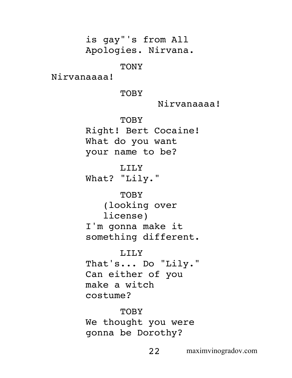is gay"'s from All Apologies. Nirvana.

TONY

Nirvanaaaa!

**TOBY** 

Nirvanaaaa!

**TOBY** 

Right! Bert Cocaine! What do you want your name to be?

LILY

What? "Lily."

**TOBY** (looking over license) I'm gonna make it something different.

LILY That's... Do "Lily." Can either of you make a witch costume?

**TOBY** We thought you were gonna be Dorothy?

22 maximvinogradov.com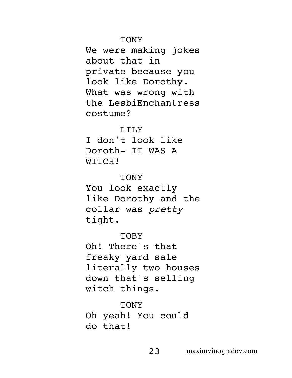#### TONY

We were making jokes about that in private because you look like Dorothy. What was wrong with the LesbiEnchantress costume?

#### LILY

I don't look like Doroth- IT WAS A WITCH!

#### **TONY**

You look exactly like Dorothy and the collar was *pretty* tight.

# **TOBY**

Oh! There's that freaky yard sale literally two houses down that's selling witch things.

# **TONY**

Oh yeah! You could do that!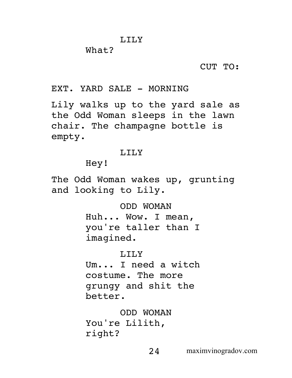#### What?

CUT TO:

# EXT. YARD SALE - MORNING

Lily walks up to the yard sale as the Odd Woman sleeps in the lawn chair. The champagne bottle is empty.

#### T.TT.Y

Hey!

The Odd Woman wakes up, grunting and looking to Lily.

> ODD WOMAN Huh... Wow. I mean, you're taller than I imagined.

# LILY

Um... I need a witch costume. The more grungy and shit the better.

ODD WOMAN You're Lilith, right?

24 maximvinogradov.com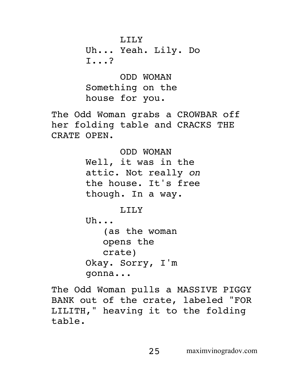Uh... Yeah. Lily. Do I...?

ODD WOMAN Something on the house for you.

The Odd Woman grabs a CROWBAR off her folding table and CRACKS THE CRATE OPEN.

> ODD WOMAN Well, it was in the attic. Not really *on* the house. It's free though. In a way.

> > LILY

Uh... (as the woman opens the crate)

Okay. Sorry, I'm gonna...

The Odd Woman pulls a MASSIVE PIGGY BANK out of the crate, labeled "FOR LILITH," heaving it to the folding table.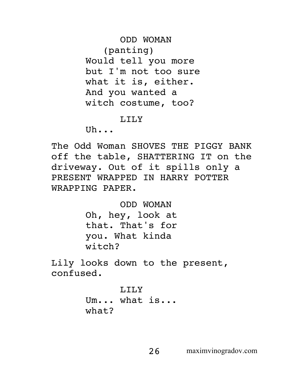ODD WOMAN (panting) Would tell you more but I'm not too sure what it is, either. And you wanted a witch costume, too?

#### LILY

 $U<sub>b</sub>$ .

The Odd Woman SHOVES THE PIGGY BANK off the table, SHATTERING IT on the driveway. Out of it spills only a PRESENT WRAPPED IN HARRY POTTER WRAPPING PAPER.

> ODD WOMAN Oh, hey, look at that. That's for you. What kinda witch?

Lily looks down to the present, confused.

> T.TT.Y Um... what is... what?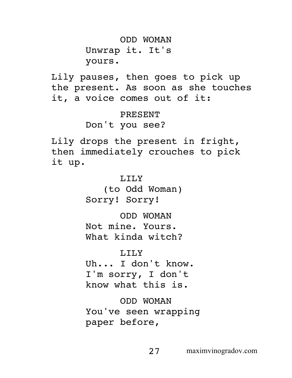ODD WOMAN Unwrap it. It's yours.

Lily pauses, then goes to pick up the present. As soon as she touches it, a voice comes out of it:

> PRESENT Don't you see?

Lily drops the present in fright, then immediately crouches to pick it up.

> LILY (to Odd Woman) Sorry! Sorry!

> ODD WOMAN Not mine. Yours. What kinda witch?

LILY Uh... I don't know. I'm sorry, I don't know what this is.

ODD WOMAN You've seen wrapping paper before,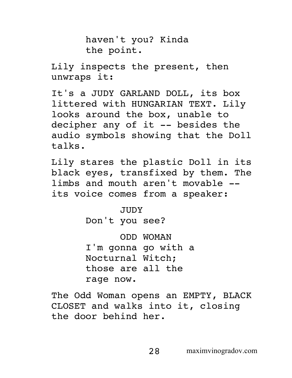haven't you? Kinda the point.

Lily inspects the present, then unwraps it:

It's a JUDY GARLAND DOLL, its box littered with HUNGARIAN TEXT. Lily looks around the box, unable to decipher any of it -- besides the audio symbols showing that the Doll talks.

Lily stares the plastic Doll in its black eyes, transfixed by them. The limbs and mouth aren't movable - its voice comes from a speaker:

> JUDY Don't you see?

ODD WOMAN I'm gonna go with a Nocturnal Witch; those are all the rage now.

The Odd Woman opens an EMPTY, BLACK CLOSET and walks into it, closing the door behind her.